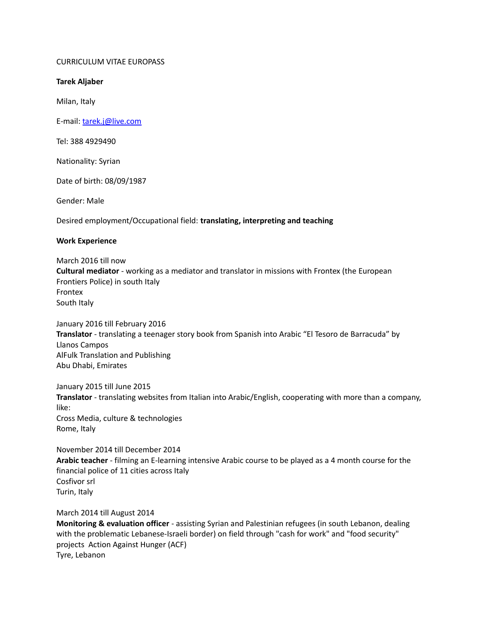# CURRICULUM VITAE EUROPASS

# **Tarek Aljaber**

Milan, Italy

E-mail: [tarek.j@live.com](mailto:tarek.j@live.com) 

Tel: 388 4929490

Nationality: Syrian

Date of birth: 08/09/1987

Gender: Male

Desired employment/Occupational field: **translating, interpreting and teaching**

# **Work Experience**

March 2016 till now **Cultural mediator** - working as a mediator and translator in missions with Frontex (the European Frontiers Police) in south Italy Frontex South Italy

January 2016 till February 2016 **Translator** - translating a teenager story book from Spanish into Arabic "El Tesoro de Barracuda" by Llanos Campos AlFulk Translation and Publishing Abu Dhabi, Emirates

January 2015 till June 2015 **Translator** - translating websites from Italian into Arabic/English, cooperating with more than a company, like: Cross Media, culture & technologies Rome, Italy

November 2014 till December 2014 **Arabic teacher** - filming an E-learning intensive Arabic course to be played as a 4 month course for the financial police of 11 cities across Italy Cosfivor srl Turin, Italy

March 2014 till August 2014

**Monitoring & evaluation officer** - assisting Syrian and Palestinian refugees (in south Lebanon, dealing with the problematic Lebanese-Israeli border) on field through "cash for work" and "food security" projects Action Against Hunger (ACF) Tyre, Lebanon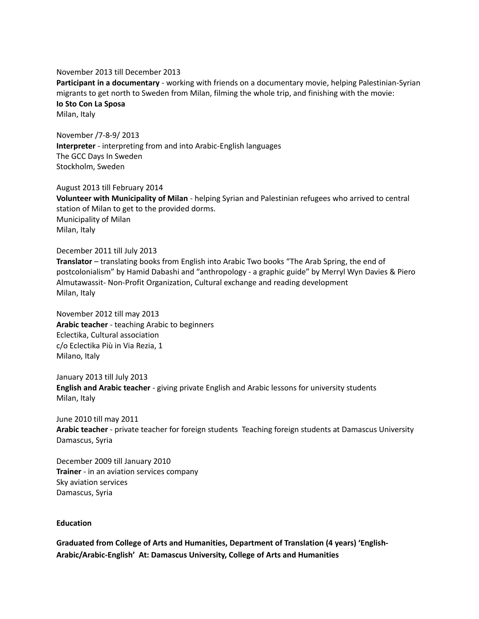November 2013 till December 2013

**Participant in a documentary** - working with friends on a documentary movie, helping Palestinian-Syrian migrants to get north to Sweden from Milan, filming the whole trip, and finishing with the movie: **Io Sto Con La Sposa**  Milan, Italy

November /7-8-9/ 2013 **Interpreter** - interpreting from and into Arabic-English languages The GCC Days In Sweden Stockholm, Sweden

August 2013 till February 2014 **Volunteer with Municipality of Milan** - helping Syrian and Palestinian refugees who arrived to central station of Milan to get to the provided dorms. Municipality of Milan Milan, Italy

December 2011 till July 2013

**Translator** – translating books from English into Arabic Two books "The Arab Spring, the end of postcolonialism" by Hamid Dabashi and "anthropology - a graphic guide" by Merryl Wyn Davies & Piero Almutawassit- Non-Profit Organization, Cultural exchange and reading development Milan, Italy

November 2012 till may 2013 **Arabic teacher** - teaching Arabic to beginners Eclectika, Cultural association c/o Eclectika Più in Via Rezia, 1 Milano, Italy

January 2013 till July 2013 **English and Arabic teacher** - giving private English and Arabic lessons for university students Milan, Italy

June 2010 till may 2011 **Arabic teacher** - private teacher for foreign students Teaching foreign students at Damascus University Damascus, Syria

December 2009 till January 2010 **Trainer** - in an aviation services company Sky aviation services Damascus, Syria

### **Education**

**Graduated from College of Arts and Humanities, Department of Translation (4 years) 'English-Arabic/Arabic-English' At: Damascus University, College of Arts and Humanities**